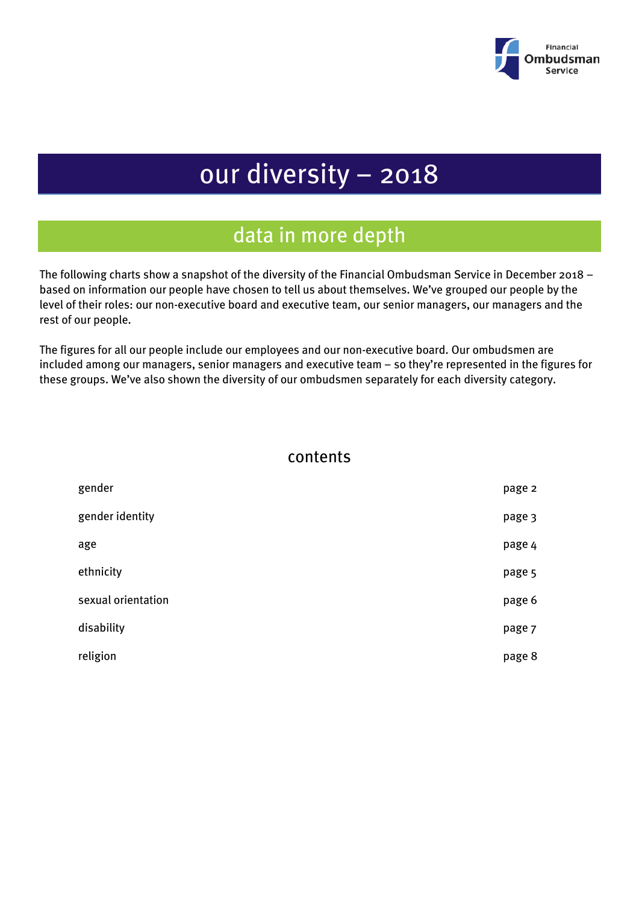

# our diversity – 2018

## data in more depth

The following charts show a snapshot of the diversity of the Financial Ombudsman Service in December 2018 – based on information our people have chosen to tell us about themselves. We've grouped our people by the level of their roles: our non-executive board and executive team, our senior managers, our managers and the rest of our people.

The figures for all our people include our employees and our non-executive board. Our ombudsmen are included among our managers, senior managers and executive team – so they're represented in the figures for these groups. We've also shown the diversity of our ombudsmen separately for each diversity category.

#### contents

| gender             | page 2 |
|--------------------|--------|
| gender identity    | page 3 |
| age                | page 4 |
| ethnicity          | page 5 |
| sexual orientation | page 6 |
| disability         | page 7 |
| religion           | page 8 |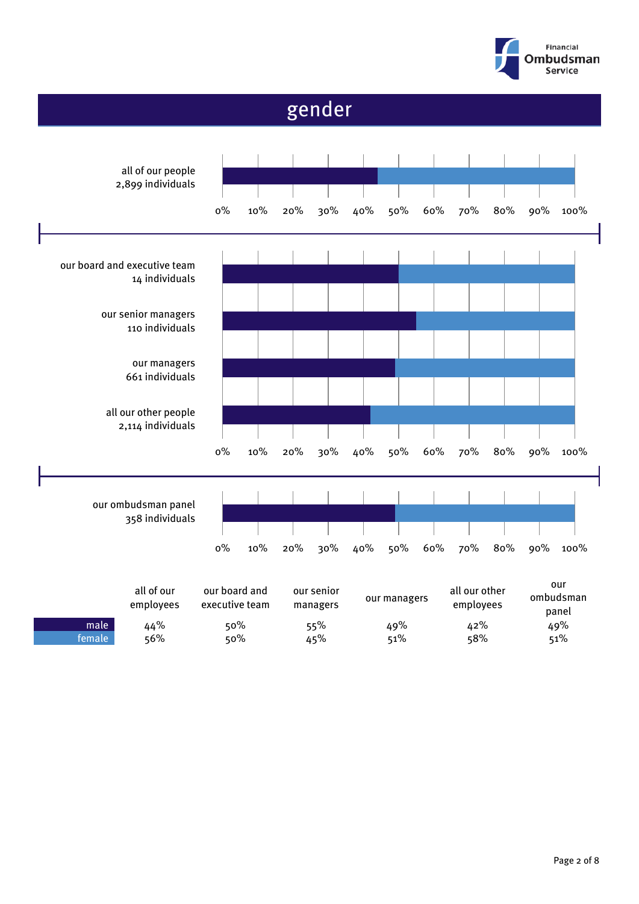

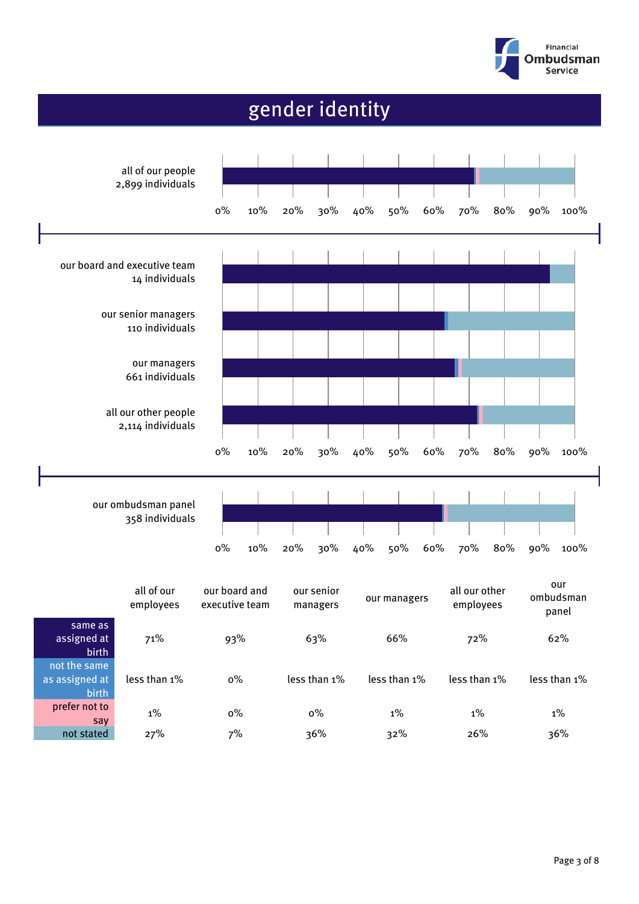

# gender identity

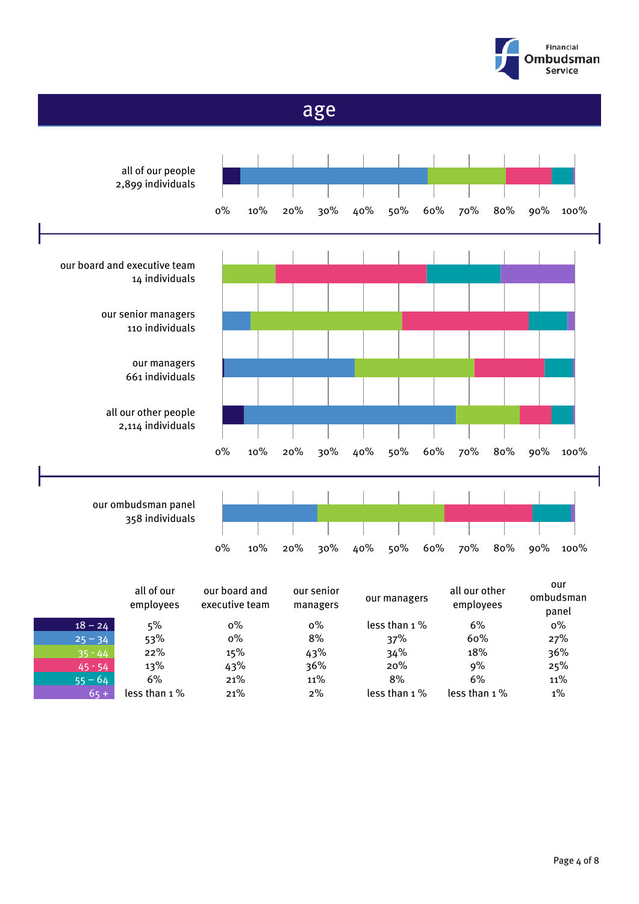



|           | all of our<br>employees | our board and<br>executive team | our senior<br>managers | our managers    | all our other<br>employees | ombudsman<br>panel |
|-----------|-------------------------|---------------------------------|------------------------|-----------------|----------------------------|--------------------|
| $18 - 24$ | 5%                      | $0\%$                           | $0\%$                  | less than 1 %   | 6%                         | $0\%$              |
| $25 - 34$ | 53%                     | $0\%$                           | 8%                     | 37%             | 60%                        | 27%                |
| $35 - 44$ | 22%                     | 15%                             | 43%                    | 34%             | 18%                        | 36%                |
| $45 - 54$ | 13%                     | 43%                             | 36%                    | 20%             | 9%                         | 25%                |
| $55 - 64$ | 6%                      | 21%                             | 11%                    | 8%              | 6%                         | 11%                |
| $65 +$    | less than $1\%$         | 21%                             | $2\%$                  | less than $1\%$ | less than $1\%$            | $1\%$              |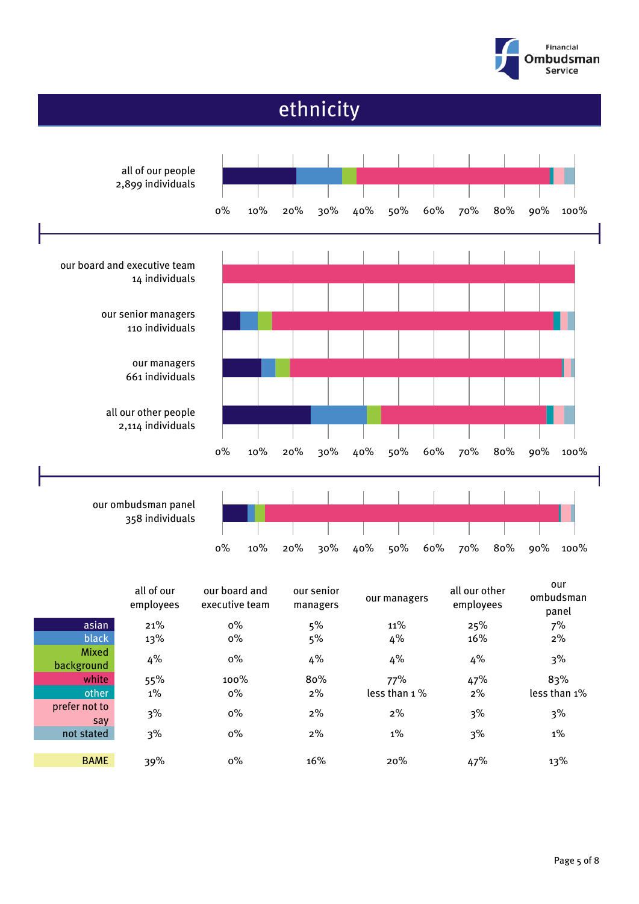



|                      | all of our<br>employees | our board and<br>executive team | our senior<br>managers | our managers | all our other<br>employees | our<br>ombudsman<br>panel |
|----------------------|-------------------------|---------------------------------|------------------------|--------------|----------------------------|---------------------------|
| asian                | 21%                     | $0\%$                           | 5%                     | 11%          | 25%                        | 7%                        |
| black                | 13%                     | $0\%$                           | 5%                     | 4%           | 16%                        | $2\%$                     |
| Mixed<br>background  | 4%                      | $0\%$                           | 4%                     | 4%           | 4%                         | 3%                        |
| white                | 55%                     | 100%                            | 80%                    | 77%          | 47%                        | 83%                       |
| other                | $1\%$                   | $0\%$                           | $2\%$                  | less than 1% | 2%                         | less than 1%              |
| prefer not to<br>say | 3%                      | $0\%$                           | $2\%$                  | $2\%$        | 3%                         | 3%                        |
| not stated           | 3%                      | $0\%$                           | $2\%$                  | $1\%$        | 3%                         | $1\%$                     |
| <b>BAME</b>          | 39%                     | $0\%$                           | 16%                    | 20%          | 47%                        | 13%                       |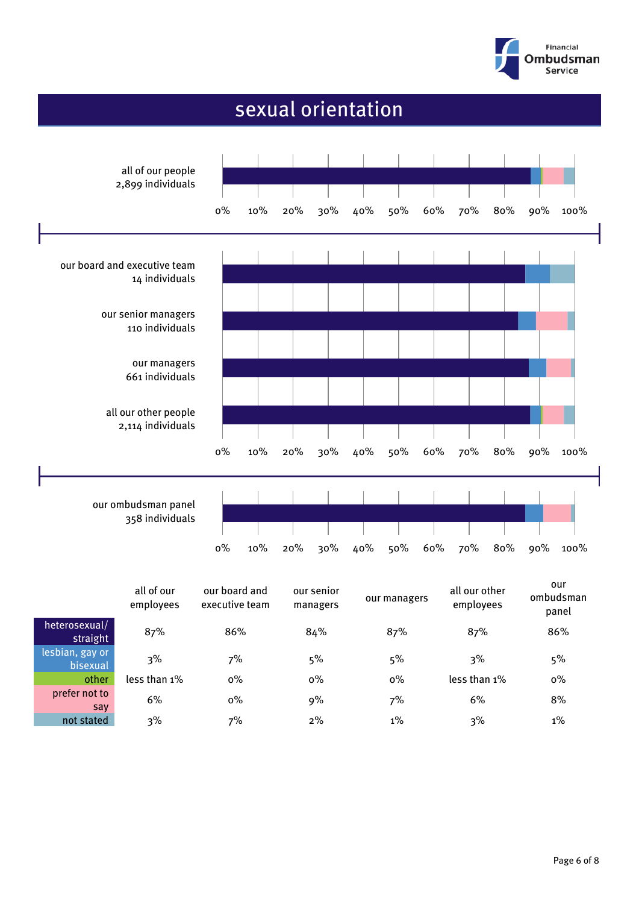

### sexual orientation

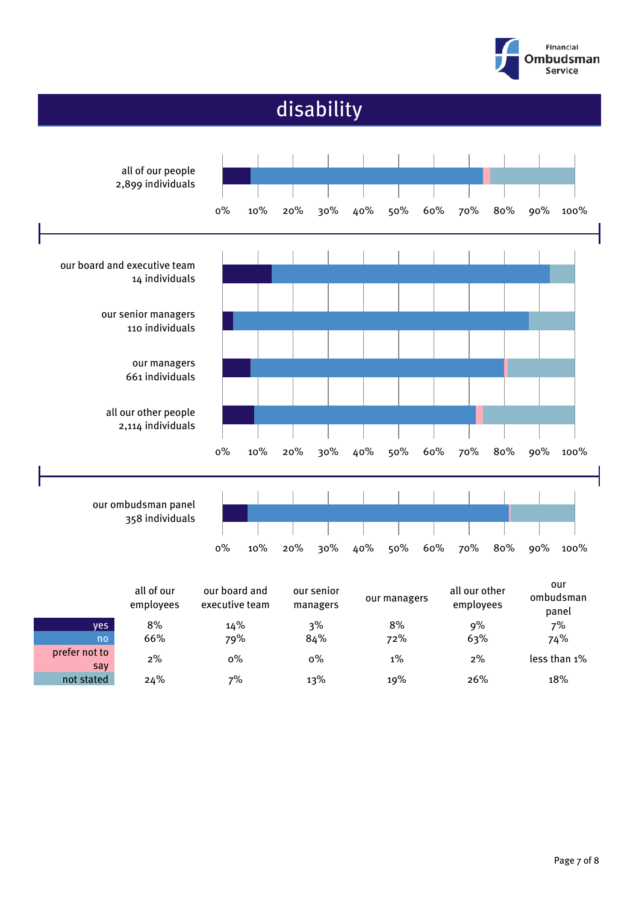



2% 0% 0% 1% 2% less than 1%